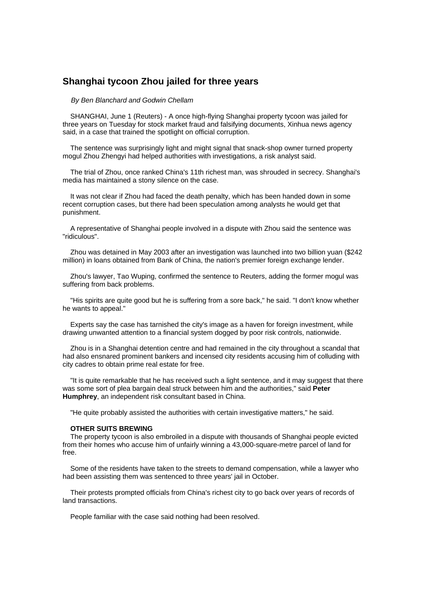## **Shanghai tycoon Zhou jailed for three years**

## *By Ben Blanchard and Godwin Chellam*

 SHANGHAI, June 1 (Reuters) - A once high-flying Shanghai property tycoon was jailed for three years on Tuesday for stock market fraud and falsifying documents, Xinhua news agency said, in a case that trained the spotlight on official corruption.

 The sentence was surprisingly light and might signal that snack-shop owner turned property mogul Zhou Zhengyi had helped authorities with investigations, a risk analyst said.

 The trial of Zhou, once ranked China's 11th richest man, was shrouded in secrecy. Shanghai's media has maintained a stony silence on the case.

 It was not clear if Zhou had faced the death penalty, which has been handed down in some recent corruption cases, but there had been speculation among analysts he would get that punishment.

 A representative of Shanghai people involved in a dispute with Zhou said the sentence was "ridiculous".

 Zhou was detained in May 2003 after an investigation was launched into two billion yuan (\$242 million) in loans obtained from Bank of China, the nation's premier foreign exchange lender.

 Zhou's lawyer, Tao Wuping, confirmed the sentence to Reuters, adding the former mogul was suffering from back problems.

 "His spirits are quite good but he is suffering from a sore back," he said. "I don't know whether he wants to appeal."

 Experts say the case has tarnished the city's image as a haven for foreign investment, while drawing unwanted attention to a financial system dogged by poor risk controls, nationwide.

 Zhou is in a Shanghai detention centre and had remained in the city throughout a scandal that had also ensnared prominent bankers and incensed city residents accusing him of colluding with city cadres to obtain prime real estate for free.

 "It is quite remarkable that he has received such a light sentence, and it may suggest that there was some sort of plea bargain deal struck between him and the authorities," said **Peter Humphrey**, an independent risk consultant based in China.

"He quite probably assisted the authorities with certain investigative matters," he said.

## **OTHER SUITS BREWING**

 The property tycoon is also embroiled in a dispute with thousands of Shanghai people evicted from their homes who accuse him of unfairly winning a 43,000-square-metre parcel of land for free.

 Some of the residents have taken to the streets to demand compensation, while a lawyer who had been assisting them was sentenced to three years' jail in October.

 Their protests prompted officials from China's richest city to go back over years of records of land transactions.

People familiar with the case said nothing had been resolved.